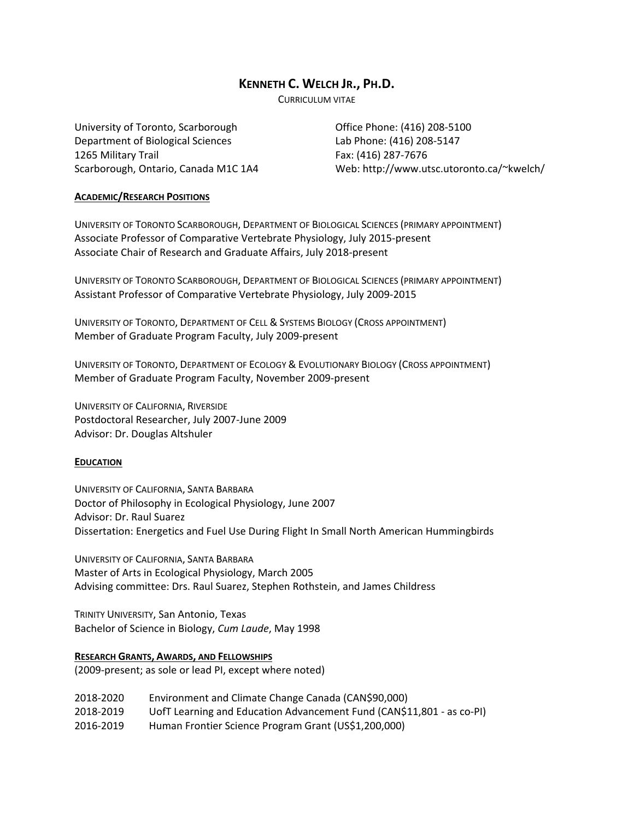# **KENNETH C. WELCH JR., PH.D.**

CURRICULUM VITAE

University of Toronto, Scarborough Department of Biological Sciences 1265 Military Trail Scarborough, Ontario, Canada M1C 1A4

Office Phone: (416) 208‐5100 Lab Phone: (416) 208‐5147 Fax: (416) 287‐7676 Web: http://www.utsc.utoronto.ca/~kwelch/

## **ACADEMIC/RESEARCH POSITIONS**

UNIVERSITY OF TORONTO SCARBOROUGH, DEPARTMENT OF BIOLOGICAL SCIENCES (PRIMARY APPOINTMENT) Associate Professor of Comparative Vertebrate Physiology, July 2015‐present Associate Chair of Research and Graduate Affairs, July 2018‐present

UNIVERSITY OF TORONTO SCARBOROUGH, DEPARTMENT OF BIOLOGICAL SCIENCES (PRIMARY APPOINTMENT) Assistant Professor of Comparative Vertebrate Physiology, July 2009‐2015

UNIVERSITY OF TORONTO, DEPARTMENT OF CELL & SYSTEMS BIOLOGY (CROSS APPOINTMENT) Member of Graduate Program Faculty, July 2009‐present

UNIVERSITY OF TORONTO, DEPARTMENT OF ECOLOGY & EVOLUTIONARY BIOLOGY (CROSS APPOINTMENT) Member of Graduate Program Faculty, November 2009‐present

UNIVERSITY OF CALIFORNIA, RIVERSIDE Postdoctoral Researcher, July 2007‐June 2009 Advisor: Dr. Douglas Altshuler

## **EDUCATION**

UNIVERSITY OF CALIFORNIA, SANTA BARBARA Doctor of Philosophy in Ecological Physiology, June 2007 Advisor: Dr. Raul Suarez Dissertation: Energetics and Fuel Use During Flight In Small North American Hummingbirds

UNIVERSITY OF CALIFORNIA, SANTA BARBARA Master of Arts in Ecological Physiology, March 2005 Advising committee: Drs. Raul Suarez, Stephen Rothstein, and James Childress

TRINITY UNIVERSITY, San Antonio, Texas Bachelor of Science in Biology, *Cum Laude*, May 1998

**RESEARCH GRANTS, AWARDS, AND FELLOWSHIPS**

(2009‐present; as sole or lead PI, except where noted)

2018‐2020 Environment and Climate Change Canada (CAN\$90,000) 2018‐2019 UofT Learning and Education Advancement Fund (CAN\$11,801 ‐ as co‐PI) 2016‐2019 Human Frontier Science Program Grant (US\$1,200,000)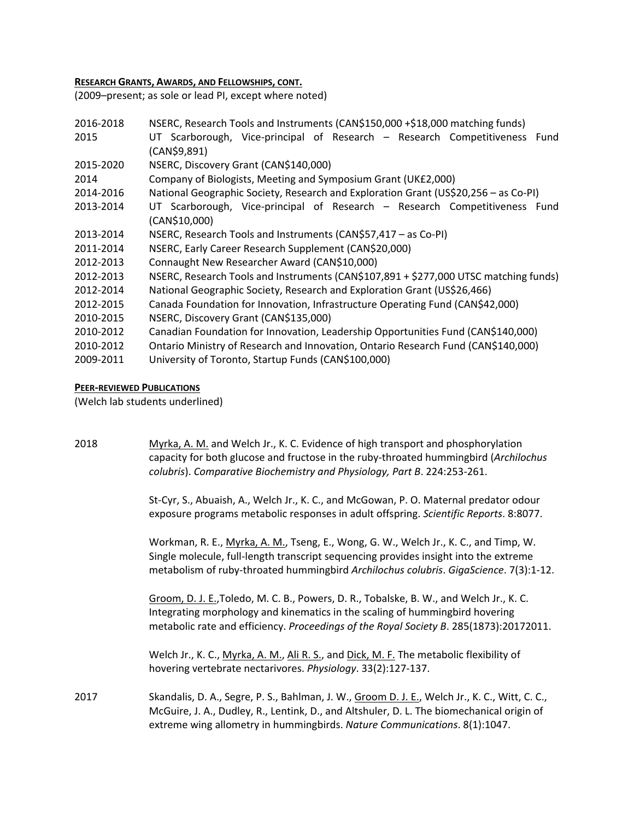# **RESEARCH GRANTS, AWARDS, AND FELLOWSHIPS, CONT.**

(2009–present; as sole or lead PI, except where noted)

| 2016-2018 | NSERC, Research Tools and Instruments (CAN\$150,000 +\$18,000 matching funds)              |  |  |
|-----------|--------------------------------------------------------------------------------------------|--|--|
| 2015      | UT Scarborough, Vice-principal of Research - Research Competitiveness Fund<br>(CAN\$9,891) |  |  |
| 2015-2020 | NSERC, Discovery Grant (CAN\$140,000)                                                      |  |  |
| 2014      | Company of Biologists, Meeting and Symposium Grant (UK£2,000)                              |  |  |
| 2014-2016 | National Geographic Society, Research and Exploration Grant (US\$20,256 - as Co-PI)        |  |  |
| 2013-2014 | UT Scarborough, Vice-principal of Research - Research Competitiveness Fund                 |  |  |
|           | (CAN\$10,000)                                                                              |  |  |
| 2013-2014 | NSERC, Research Tools and Instruments (CAN\$57,417 - as Co-PI)                             |  |  |
| 2011-2014 | NSERC, Early Career Research Supplement (CAN\$20,000)                                      |  |  |
| 2012-2013 | Connaught New Researcher Award (CAN\$10,000)                                               |  |  |
| 2012-2013 | NSERC, Research Tools and Instruments (CAN\$107,891 + \$277,000 UTSC matching funds)       |  |  |
| 2012-2014 | National Geographic Society, Research and Exploration Grant (US\$26,466)                   |  |  |
| 2012-2015 | Canada Foundation for Innovation, Infrastructure Operating Fund (CAN\$42,000)              |  |  |
| 2010-2015 | NSERC, Discovery Grant (CAN\$135,000)                                                      |  |  |
| 2010-2012 | Canadian Foundation for Innovation, Leadership Opportunities Fund (CAN\$140,000)           |  |  |
| 2010-2012 | Ontario Ministry of Research and Innovation, Ontario Research Fund (CAN\$140,000)          |  |  |
| 2009-2011 | University of Toronto, Startup Funds (CAN\$100,000)                                        |  |  |

## **PEER‐REVIEWED PUBLICATIONS**

(Welch lab students underlined)

| 2018 | Myrka, A. M. and Welch Jr., K. C. Evidence of high transport and phosphorylation<br>capacity for both glucose and fructose in the ruby-throated hummingbird (Archilochus<br>colubris). Comparative Biochemistry and Physiology, Part B. 224:253-261.                     |
|------|--------------------------------------------------------------------------------------------------------------------------------------------------------------------------------------------------------------------------------------------------------------------------|
|      | St-Cyr, S., Abuaish, A., Welch Jr., K. C., and McGowan, P. O. Maternal predator odour<br>exposure programs metabolic responses in adult offspring. Scientific Reports. 8:8077.                                                                                           |
|      | Workman, R. E., Myrka, A. M., Tseng, E., Wong, G. W., Welch Jr., K. C., and Timp, W.<br>Single molecule, full-length transcript sequencing provides insight into the extreme<br>metabolism of ruby-throated hummingbird Archilochus colubris. GigaScience. 7(3):1-12.    |
|      | Groom, D. J. E., Toledo, M. C. B., Powers, D. R., Tobalske, B. W., and Welch Jr., K. C.<br>Integrating morphology and kinematics in the scaling of hummingbird hovering<br>metabolic rate and efficiency. Proceedings of the Royal Society B. 285(1873):20172011.        |
|      | Welch Jr., K. C., Myrka, A. M., Ali R. S., and Dick, M. F. The metabolic flexibility of<br>hovering vertebrate nectarivores. Physiology. 33(2):127-137.                                                                                                                  |
| 2017 | Skandalis, D. A., Segre, P. S., Bahlman, J. W., Groom D. J. E., Welch Jr., K. C., Witt, C. C.,<br>McGuire, J. A., Dudley, R., Lentink, D., and Altshuler, D. L. The biomechanical origin of<br>extreme wing allometry in hummingbirds. Nature Communications. 8(1):1047. |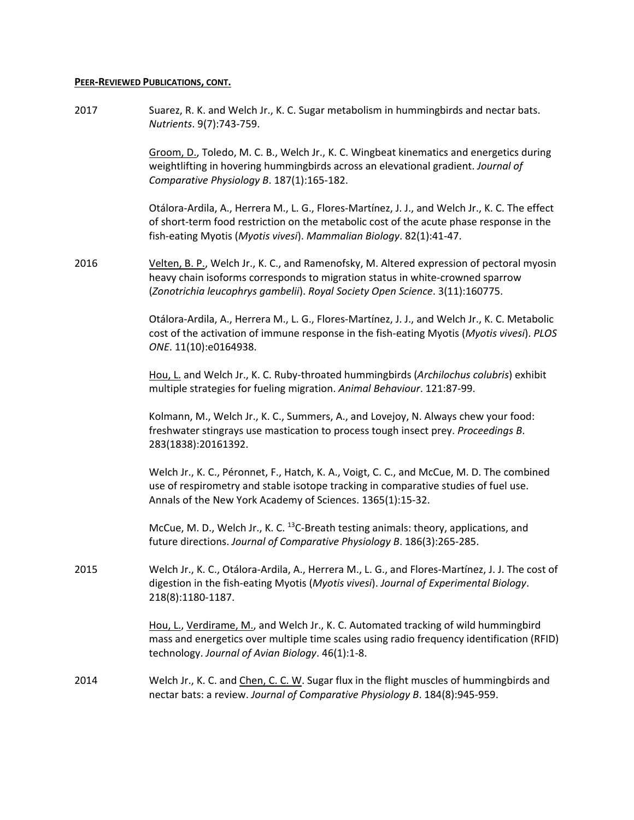### **PEER‐REVIEWED PUBLICATIONS, CONT.**

2017 Suarez, R. K. and Welch Jr., K. C. Sugar metabolism in hummingbirds and nectar bats. *Nutrients*. 9(7):743‐759.

> Groom, D., Toledo, M. C. B., Welch Jr., K. C. Wingbeat kinematics and energetics during weightlifting in hovering hummingbirds across an elevational gradient. *Journal of Comparative Physiology B*. 187(1):165‐182.

> Otálora‐Ardila, A., Herrera M., L. G., Flores‐Martínez, J. J., and Welch Jr., K. C. The effect of short‐term food restriction on the metabolic cost of the acute phase response in the fish‐eating Myotis (*Myotis vivesi*). *Mammalian Biology*. 82(1):41‐47.

2016 Velten, B. P., Welch Jr., K. C., and Ramenofsky, M. Altered expression of pectoral myosin heavy chain isoforms corresponds to migration status in white‐crowned sparrow (*Zonotrichia leucophrys gambelii*). *Royal Society Open Science*. 3(11):160775.

> Otálora‐Ardila, A., Herrera M., L. G., Flores‐Martínez, J. J., and Welch Jr., K. C. Metabolic cost of the activation of immune response in the fish‐eating Myotis (*Myotis vivesi*). *PLOS ONE*. 11(10):e0164938.

Hou, L. and Welch Jr., K. C. Ruby‐throated hummingbirds (*Archilochus colubris*) exhibit multiple strategies for fueling migration. *Animal Behaviour*. 121:87‐99.

Kolmann, M., Welch Jr., K. C., Summers, A., and Lovejoy, N. Always chew your food: freshwater stingrays use mastication to process tough insect prey. *Proceedings B*. 283(1838):20161392.

 Welch Jr., K. C., Péronnet, F., Hatch, K. A., Voigt, C. C., and McCue, M. D. The combined use of respirometry and stable isotope tracking in comparative studies of fuel use. Annals of the New York Academy of Sciences. 1365(1):15‐32.

McCue, M. D., Welch Jr., K. C.  $^{13}$ C-Breath testing animals: theory, applications, and future directions. *Journal of Comparative Physiology B*. 186(3):265‐285.

2015 Welch Jr., K. C., Otálora‐Ardila, A., Herrera M., L. G., and Flores‐Martínez, J. J. The cost of digestion in the fish‐eating Myotis (*Myotis vivesi*). *Journal of Experimental Biology*. 218(8):1180‐1187.

> Hou, L., Verdirame, M., and Welch Jr., K. C. Automated tracking of wild hummingbird mass and energetics over multiple time scales using radio frequency identification (RFID) technology. *Journal of Avian Biology*. 46(1):1‐8.

2014 Welch Jr., K. C. and Chen, C. C. W. Sugar flux in the flight muscles of hummingbirds and nectar bats: a review. *Journal of Comparative Physiology B*. 184(8):945‐959.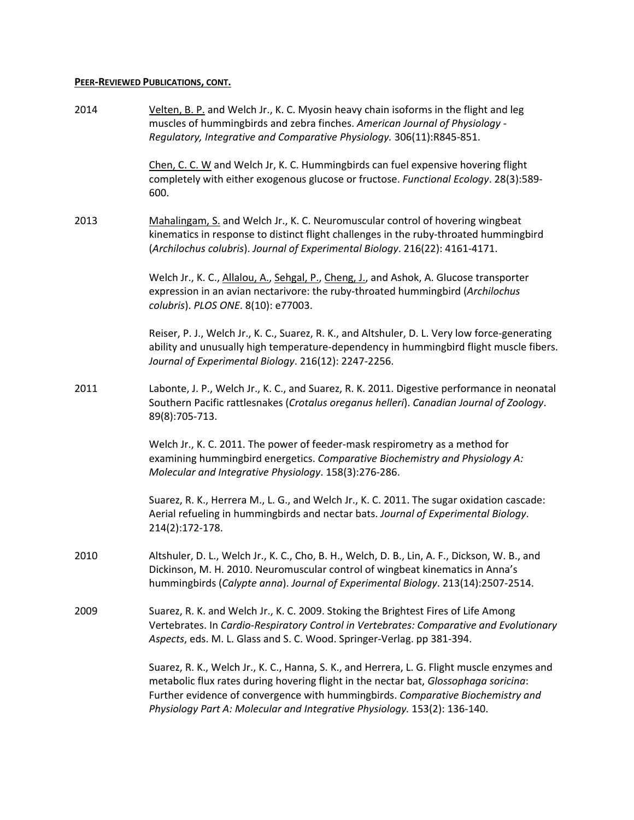## **PEER‐REVIEWED PUBLICATIONS, CONT.**

| 2014 | Velten, B. P. and Welch Jr., K. C. Myosin heavy chain isoforms in the flight and leg<br>muscles of hummingbirds and zebra finches. American Journal of Physiology -<br>Regulatory, Integrative and Comparative Physiology. 306(11):R845-851.                                                                                                        |
|------|-----------------------------------------------------------------------------------------------------------------------------------------------------------------------------------------------------------------------------------------------------------------------------------------------------------------------------------------------------|
|      | Chen, C. C. W and Welch Jr, K. C. Hummingbirds can fuel expensive hovering flight<br>completely with either exogenous glucose or fructose. Functional Ecology. 28(3):589-<br>600.                                                                                                                                                                   |
| 2013 | Mahalingam, S. and Welch Jr., K. C. Neuromuscular control of hovering wingbeat<br>kinematics in response to distinct flight challenges in the ruby-throated hummingbird<br>(Archilochus colubris). Journal of Experimental Biology. 216(22): 4161-4171.                                                                                             |
|      | Welch Jr., K. C., Allalou, A., Sehgal, P., Cheng, J., and Ashok, A. Glucose transporter<br>expression in an avian nectarivore: the ruby-throated hummingbird (Archilochus<br>colubris). PLOS ONE. 8(10): e77003.                                                                                                                                    |
|      | Reiser, P. J., Welch Jr., K. C., Suarez, R. K., and Altshuler, D. L. Very low force-generating<br>ability and unusually high temperature-dependency in hummingbird flight muscle fibers.<br>Journal of Experimental Biology. 216(12): 2247-2256.                                                                                                    |
| 2011 | Labonte, J. P., Welch Jr., K. C., and Suarez, R. K. 2011. Digestive performance in neonatal<br>Southern Pacific rattlesnakes (Crotalus oreganus helleri). Canadian Journal of Zoology.<br>89(8):705-713.                                                                                                                                            |
|      | Welch Jr., K. C. 2011. The power of feeder-mask respirometry as a method for<br>examining hummingbird energetics. Comparative Biochemistry and Physiology A:<br>Molecular and Integrative Physiology. 158(3):276-286.                                                                                                                               |
|      | Suarez, R. K., Herrera M., L. G., and Welch Jr., K. C. 2011. The sugar oxidation cascade:<br>Aerial refueling in hummingbirds and nectar bats. Journal of Experimental Biology.<br>214(2):172-178.                                                                                                                                                  |
| 2010 | Altshuler, D. L., Welch Jr., K. C., Cho, B. H., Welch, D. B., Lin, A. F., Dickson, W. B., and<br>Dickinson, M. H. 2010. Neuromuscular control of wingbeat kinematics in Anna's<br>hummingbirds (Calypte anna). Journal of Experimental Biology. 213(14):2507-2514.                                                                                  |
| 2009 | Suarez, R. K. and Welch Jr., K. C. 2009. Stoking the Brightest Fires of Life Among<br>Vertebrates. In Cardio-Respiratory Control in Vertebrates: Comparative and Evolutionary<br>Aspects, eds. M. L. Glass and S. C. Wood. Springer-Verlag. pp 381-394.                                                                                             |
|      | Suarez, R. K., Welch Jr., K. C., Hanna, S. K., and Herrera, L. G. Flight muscle enzymes and<br>metabolic flux rates during hovering flight in the nectar bat, Glossophaga soricina:<br>Further evidence of convergence with hummingbirds. Comparative Biochemistry and<br>Physiology Part A: Molecular and Integrative Physiology. 153(2): 136-140. |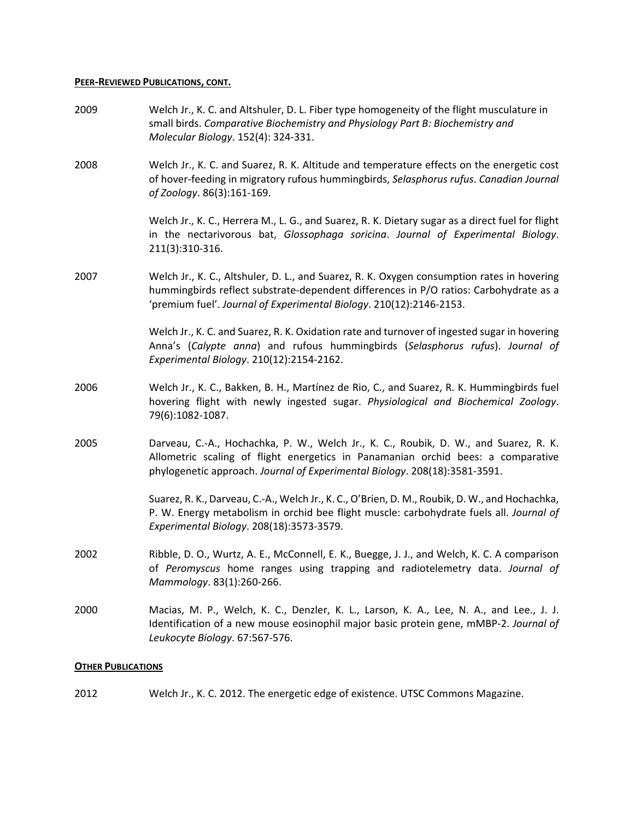### **PEER‐REVIEWED PUBLICATIONS, CONT.**

- 2009 Welch Jr., K. C. and Altshuler, D. L. Fiber type homogeneity of the flight musculature in small birds. *Comparative Biochemistry and Physiology Part B: Biochemistry and Molecular Biology*. 152(4): 324‐331. 2008 Welch Jr., K. C. and Suarez, R. K. Altitude and temperature effects on the energetic cost of hover‐feeding in migratory rufous hummingbirds, *Selasphorus rufus*. *Canadian Journal of Zoology*. 86(3):161‐169. Welch Jr., K. C., Herrera M., L. G., and Suarez, R. K. Dietary sugar as a direct fuel for flight in the nectarivorous bat, *Glossophaga soricina*. *Journal of Experimental Biology*. 211(3):310‐316. 2007 Welch Jr., K. C., Altshuler, D. L., and Suarez, R. K. Oxygen consumption rates in hovering hummingbirds reflect substrate‐dependent differences in P/O ratios: Carbohydrate as a 'premium fuel'. *Journal of Experimental Biology*. 210(12):2146‐2153. Welch Jr., K. C. and Suarez, R. K. Oxidation rate and turnover of ingested sugar in hovering Anna's (*Calypte anna*) and rufous hummingbirds (*Selasphorus rufus*). *Journal of Experimental Biology*. 210(12):2154‐2162. 2006 Welch Jr., K. C., Bakken, B. H., Martínez de Rio, C., and Suarez, R. K. Hummingbirds fuel hovering flight with newly ingested sugar. *Physiological and Biochemical Zoology*. 79(6):1082‐1087. 2005 Darveau, C.-A., Hochachka, P. W., Welch Jr., K. C., Roubik, D. W., and Suarez, R. K. Allometric scaling of flight energetics in Panamanian orchid bees: a comparative phylogenetic approach. *Journal of Experimental Biology*. 208(18):3581‐3591. Suarez, R. K., Darveau, C.‐A., Welch Jr., K. C., O'Brien, D. M., Roubik, D. W., and Hochachka, P. W. Energy metabolism in orchid bee flight muscle: carbohydrate fuels all. *Journal of Experimental Biology*. 208(18):3573‐3579. 2002 Ribble, D. O., Wurtz, A. E., McConnell, E. K., Buegge, J. J., and Welch, K. C. A comparison of *Peromyscus* home ranges using trapping and radiotelemetry data. *Journal of Mammology*. 83(1):260‐266. 2000 Macias, M. P., Welch, K. C., Denzler, K. L., Larson, K. A., Lee, N. A., and Lee., J. J. Identification of a new mouse eosinophil major basic protein gene, mMBP‐2. *Journal of Leukocyte Biology*. 67:567‐576. **OTHER PUBLICATIONS**
- 2012 Welch Jr., K. C. 2012. The energetic edge of existence. UTSC Commons Magazine.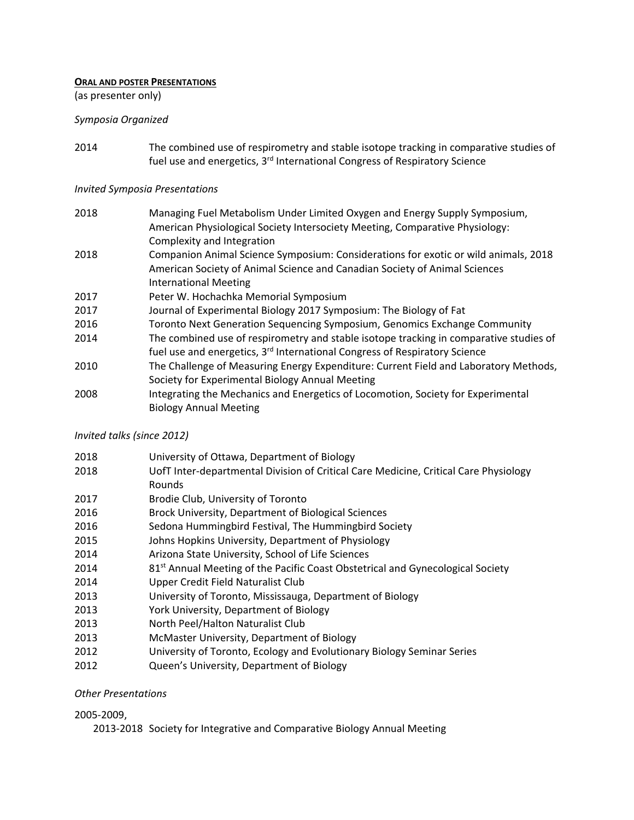## **ORAL AND POSTER PRESENTATIONS**

(as presenter only)

## *Symposia Organized*

 The combined use of respirometry and stable isotope tracking in comparative studies of fuel use and energetics, 3<sup>rd</sup> International Congress of Respiratory Science

## *Invited Symposia Presentations*

| 2018 | Managing Fuel Metabolism Under Limited Oxygen and Energy Supply Symposium,             |
|------|----------------------------------------------------------------------------------------|
|      | American Physiological Society Intersociety Meeting, Comparative Physiology:           |
|      | Complexity and Integration                                                             |
| 2018 | Companion Animal Science Symposium: Considerations for exotic or wild animals, 2018    |
|      | American Society of Animal Science and Canadian Society of Animal Sciences             |
|      | <b>International Meeting</b>                                                           |
| 2017 | Peter W. Hochachka Memorial Symposium                                                  |
| 2017 | Journal of Experimental Biology 2017 Symposium: The Biology of Fat                     |
| 2016 | Toronto Next Generation Sequencing Symposium, Genomics Exchange Community              |
| 2014 | The combined use of respirometry and stable isotope tracking in comparative studies of |
|      | fuel use and energetics, 3 <sup>rd</sup> International Congress of Respiratory Science |
| 2010 | The Challenge of Measuring Energy Expenditure: Current Field and Laboratory Methods,   |
|      | Society for Experimental Biology Annual Meeting                                        |
| 2008 | Integrating the Mechanics and Energetics of Locomotion, Society for Experimental       |
|      | <b>Biology Annual Meeting</b>                                                          |

## *Invited talks (since 2012)*

| 2018 | University of Ottawa, Department of Biology                                                |
|------|--------------------------------------------------------------------------------------------|
| 2018 | UofT Inter-departmental Division of Critical Care Medicine, Critical Care Physiology       |
|      | <b>Rounds</b>                                                                              |
| 2017 | Brodie Club, University of Toronto                                                         |
| 2016 | Brock University, Department of Biological Sciences                                        |
| 2016 | Sedona Hummingbird Festival, The Hummingbird Society                                       |
| 2015 | Johns Hopkins University, Department of Physiology                                         |
| 2014 | Arizona State University, School of Life Sciences                                          |
| 2014 | 81 <sup>st</sup> Annual Meeting of the Pacific Coast Obstetrical and Gynecological Society |
| 2014 | Upper Credit Field Naturalist Club                                                         |
| 2013 | University of Toronto, Mississauga, Department of Biology                                  |
| 2013 | York University, Department of Biology                                                     |
| 2013 | North Peel/Halton Naturalist Club                                                          |
| 2013 | McMaster University, Department of Biology                                                 |
| 2012 | University of Toronto, Ecology and Evolutionary Biology Seminar Series                     |
| 2012 | Queen's University, Department of Biology                                                  |
|      |                                                                                            |

## *Other Presentations*

## ‐2009,

2013-2018 Society for Integrative and Comparative Biology Annual Meeting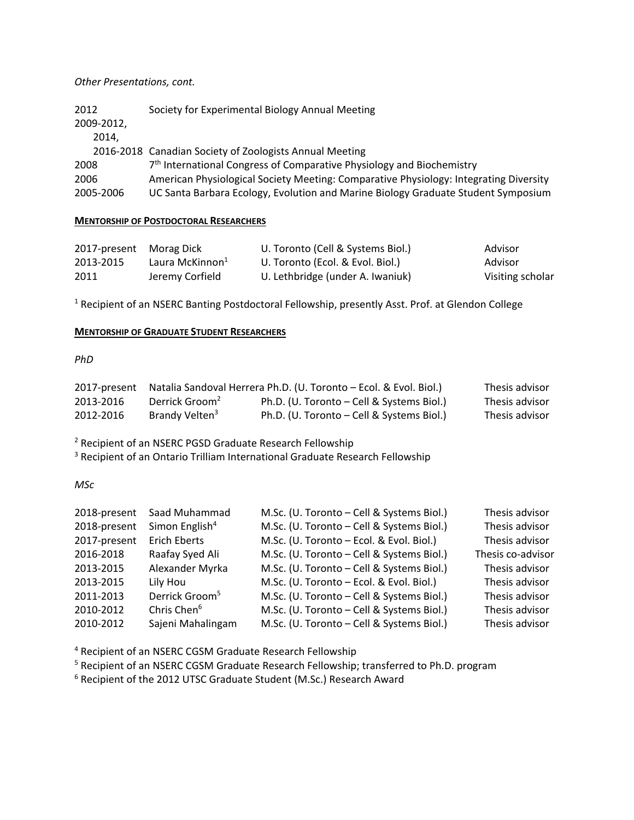## *Other Presentations, cont.*

| 2012<br>2009-2012, | Society for Experimental Biology Annual Meeting                                       |
|--------------------|---------------------------------------------------------------------------------------|
| 2014.              |                                                                                       |
|                    | 2016-2018 Canadian Society of Zoologists Annual Meeting                               |
| 2008               | 7 <sup>th</sup> International Congress of Comparative Physiology and Biochemistry     |
| 2006               | American Physiological Society Meeting: Comparative Physiology: Integrating Diversity |
| 2005-2006          | UC Santa Barbara Ecology, Evolution and Marine Biology Graduate Student Symposium     |

## **MENTORSHIP OF POSTDOCTORAL RESEARCHERS**

| 2017-present Morag Dick |                             | U. Toronto (Cell & Systems Biol.) | Advisor          |
|-------------------------|-----------------------------|-----------------------------------|------------------|
| 2013-2015               | Laura McKinnon <sup>1</sup> | U. Toronto (Ecol. & Evol. Biol.)  | Advisor          |
| 2011                    | Jeremy Corfield             | U. Lethbridge (under A. Iwaniuk)  | Visiting scholar |

<sup>1</sup> Recipient of an NSERC Banting Postdoctoral Fellowship, presently Asst. Prof. at Glendon College

## **MENTORSHIP OF GRADUATE STUDENT RESEARCHERS**

# *PhD*

| 2017-present |                            | Natalia Sandoval Herrera Ph.D. (U. Toronto – Ecol. & Evol. Biol.) | Thesis advisor |
|--------------|----------------------------|-------------------------------------------------------------------|----------------|
| 2013-2016    | Derrick Groom <sup>2</sup> | Ph.D. (U. Toronto – Cell & Systems Biol.)                         | Thesis advisor |
| 2012-2016    | Brandy Velten <sup>3</sup> | Ph.D. (U. Toronto – Cell & Systems Biol.)                         | Thesis advisor |

Recipient of an NSERC PGSD Graduate Research Fellowship

<sup>3</sup> Recipient of an Ontario Trilliam International Graduate Research Fellowship

*MSc*

| 2018-present | Saad Muhammad              | M.Sc. (U. Toronto - Cell & Systems Biol.) | Thesis advisor    |
|--------------|----------------------------|-------------------------------------------|-------------------|
| 2018-present | Simon English <sup>4</sup> | M.Sc. (U. Toronto - Cell & Systems Biol.) | Thesis advisor    |
| 2017-present | <b>Erich Eberts</b>        | M.Sc. (U. Toronto - Ecol. & Evol. Biol.)  | Thesis advisor    |
| 2016-2018    | Raafay Syed Ali            | M.Sc. (U. Toronto - Cell & Systems Biol.) | Thesis co-advisor |
| 2013-2015    | Alexander Myrka            | M.Sc. (U. Toronto - Cell & Systems Biol.) | Thesis advisor    |
| 2013-2015    | Lily Hou                   | M.Sc. (U. Toronto - Ecol. & Evol. Biol.)  | Thesis advisor    |
| 2011-2013    | Derrick Groom <sup>5</sup> | M.Sc. (U. Toronto - Cell & Systems Biol.) | Thesis advisor    |
| 2010-2012    | Chris Chen <sup>6</sup>    | M.Sc. (U. Toronto - Cell & Systems Biol.) | Thesis advisor    |
| 2010-2012    | Sajeni Mahalingam          | M.Sc. (U. Toronto - Cell & Systems Biol.) | Thesis advisor    |

Recipient of an NSERC CGSM Graduate Research Fellowship

<sup>5</sup> Recipient of an NSERC CGSM Graduate Research Fellowship; transferred to Ph.D. program

Recipient of the 2012 UTSC Graduate Student (M.Sc.) Research Award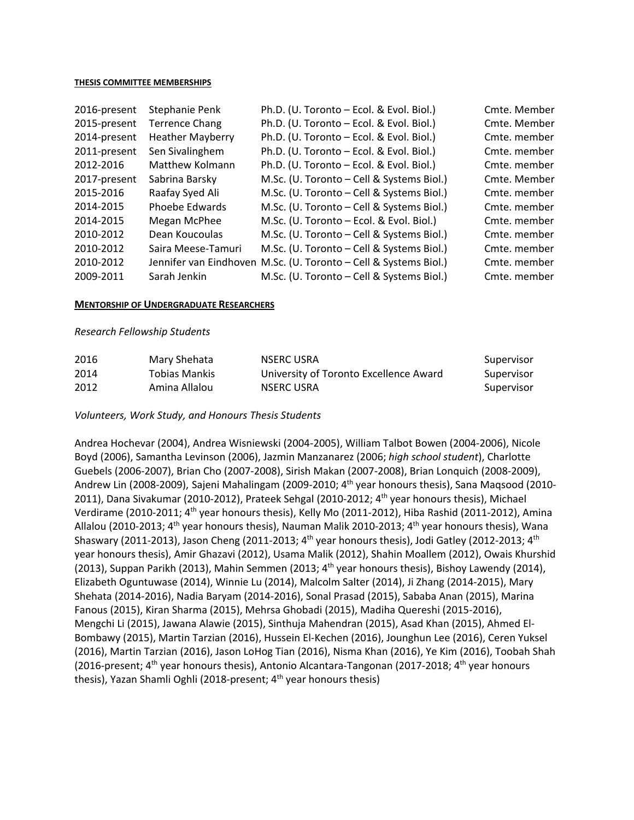### **THESIS COMMITTEE MEMBERSHIPS**

| Stephanie Penk          | Ph.D. (U. Toronto - Ecol. & Evol. Biol.)  | Cmte. Member                                                     |
|-------------------------|-------------------------------------------|------------------------------------------------------------------|
| <b>Terrence Chang</b>   | Ph.D. (U. Toronto - Ecol. & Evol. Biol.)  | Cmte. Member                                                     |
| <b>Heather Mayberry</b> | Ph.D. (U. Toronto - Ecol. & Evol. Biol.)  | Cmte. member                                                     |
| Sen Sivalinghem         | Ph.D. (U. Toronto - Ecol. & Evol. Biol.)  | Cmte. member                                                     |
| Matthew Kolmann         | Ph.D. (U. Toronto - Ecol. & Evol. Biol.)  | Cmte. member                                                     |
| Sabrina Barsky          | M.Sc. (U. Toronto - Cell & Systems Biol.) | Cmte. Member                                                     |
| Raafay Syed Ali         | M.Sc. (U. Toronto - Cell & Systems Biol.) | Cmte. member                                                     |
| Phoebe Edwards          | M.Sc. (U. Toronto – Cell & Systems Biol.) | Cmte. member                                                     |
| Megan McPhee            | M.Sc. (U. Toronto - Ecol. & Evol. Biol.)  | Cmte. member                                                     |
| Dean Koucoulas          | M.Sc. (U. Toronto – Cell & Systems Biol.) | Cmte. member                                                     |
| Saira Meese-Tamuri      | M.Sc. (U. Toronto - Cell & Systems Biol.) | Cmte. member                                                     |
|                         |                                           | Cmte. member                                                     |
| Sarah Jenkin            | M.Sc. (U. Toronto - Cell & Systems Biol.) | Cmte. member                                                     |
|                         |                                           | Jennifer van Eindhoven M.Sc. (U. Toronto - Cell & Systems Biol.) |

### **MENTORSHIP OF UNDERGRADUATE RESEARCHERS**

### *Research Fellowship Students*

| 2016 | Mary Shehata  | NSERC USRA                             | Supervisor |
|------|---------------|----------------------------------------|------------|
| 2014 | Tobias Mankis | University of Toronto Excellence Award | Supervisor |
| 2012 | Amina Allalou | NSERC USRA                             | Supervisor |

*Volunteers, Work Study, and Honours Thesis Students*

Andrea Hochevar (2004), Andrea Wisniewski (2004‐2005), William Talbot Bowen (2004‐2006), Nicole Boyd (2006), Samantha Levinson (2006), Jazmin Manzanarez (2006; *high school student*), Charlotte Guebels (2006‐2007), Brian Cho (2007‐2008), Sirish Makan (2007‐2008), Brian Lonquich (2008‐2009), Andrew Lin (2008-2009), Sajeni Mahalingam (2009-2010; 4<sup>th</sup> year honours thesis), Sana Maqsood (2010-2011), Dana Sivakumar (2010-2012), Prateek Sehgal (2010-2012; 4<sup>th</sup> year honours thesis), Michael Verdirame (2010-2011; 4<sup>th</sup> year honours thesis), Kelly Mo (2011-2012), Hiba Rashid (2011-2012), Amina Allalou (2010-2013; 4<sup>th</sup> year honours thesis), Nauman Malik 2010-2013; 4<sup>th</sup> year honours thesis), Wana Shaswary (2011-2013), Jason Cheng (2011-2013; 4<sup>th</sup> year honours thesis), Jodi Gatley (2012-2013; 4<sup>th</sup> year honours thesis), Amir Ghazavi (2012), Usama Malik (2012), Shahin Moallem (2012), Owais Khurshid (2013), Suppan Parikh (2013), Mahin Semmen (2013; 4<sup>th</sup> year honours thesis), Bishoy Lawendy (2014), Elizabeth Oguntuwase (2014), Winnie Lu (2014), Malcolm Salter (2014), Ji Zhang (2014‐2015), Mary Shehata (2014‐2016), Nadia Baryam (2014‐2016), Sonal Prasad (2015), Sababa Anan (2015), Marina Fanous (2015), Kiran Sharma (2015), Mehrsa Ghobadi (2015), Madiha Quereshi (2015‐2016), Mengchi Li (2015), Jawana Alawie (2015), Sinthuja Mahendran (2015), Asad Khan (2015), Ahmed El‐ Bombawy (2015), Martin Tarzian (2016), Hussein El‐Kechen (2016), Jounghun Lee (2016), Ceren Yuksel (2016), Martin Tarzian (2016), Jason LoHog Tian (2016), Nisma Khan (2016), Ye Kim (2016), Toobah Shah (2016-present;  $4^{th}$  year honours thesis), Antonio Alcantara-Tangonan (2017-2018;  $4^{th}$  year honours thesis), Yazan Shamli Oghli (2018-present; 4<sup>th</sup> year honours thesis)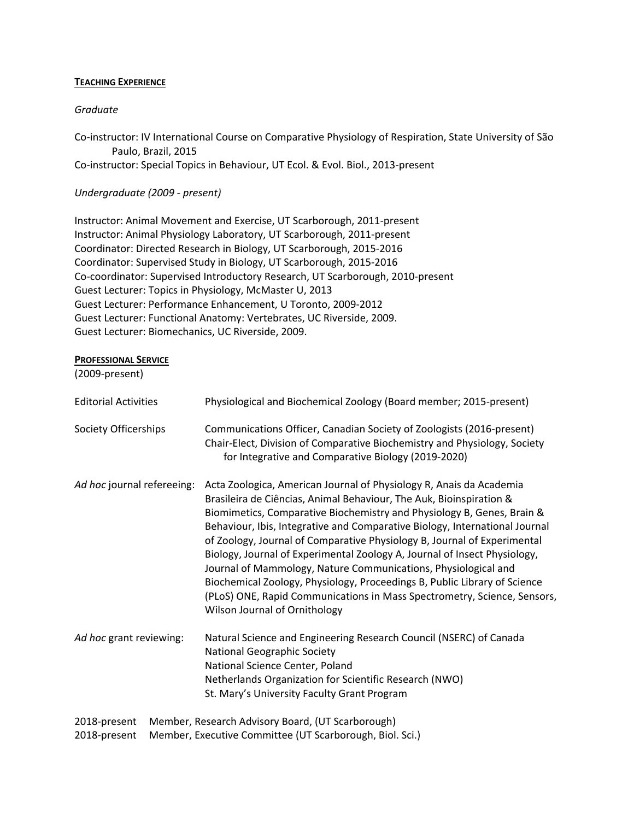## **TEACHING EXPERIENCE**

## *Graduate*

Co-instructor: IV International Course on Comparative Physiology of Respiration, State University of São Paulo, Brazil, 2015 Co‐instructor: Special Topics in Behaviour, UT Ecol. & Evol. Biol., 2013‐present

## *Undergraduate (2009 ‐ present)*

Instructor: Animal Movement and Exercise, UT Scarborough, 2011‐present Instructor: Animal Physiology Laboratory, UT Scarborough, 2011‐present Coordinator: Directed Research in Biology, UT Scarborough, 2015‐2016 Coordinator: Supervised Study in Biology, UT Scarborough, 2015‐2016 Co‐coordinator: Supervised Introductory Research, UT Scarborough, 2010‐present Guest Lecturer: Topics in Physiology, McMaster U, 2013 Guest Lecturer: Performance Enhancement, U Toronto, 2009‐2012 Guest Lecturer: Functional Anatomy: Vertebrates, UC Riverside, 2009. Guest Lecturer: Biomechanics, UC Riverside, 2009.

## **PROFESSIONAL SERVICE**

(2009‐present)

| <b>Editorial Activities</b> | Physiological and Biochemical Zoology (Board member; 2015-present)                                                                                                                                                                                                                                                                                                                                                                                                                                                                                                                                                                                                                                                       |
|-----------------------------|--------------------------------------------------------------------------------------------------------------------------------------------------------------------------------------------------------------------------------------------------------------------------------------------------------------------------------------------------------------------------------------------------------------------------------------------------------------------------------------------------------------------------------------------------------------------------------------------------------------------------------------------------------------------------------------------------------------------------|
| Society Officerships        | Communications Officer, Canadian Society of Zoologists (2016-present)<br>Chair-Elect, Division of Comparative Biochemistry and Physiology, Society<br>for Integrative and Comparative Biology (2019-2020)                                                                                                                                                                                                                                                                                                                                                                                                                                                                                                                |
| Ad hoc journal refereeing:  | Acta Zoologica, American Journal of Physiology R, Anais da Academia<br>Brasileira de Ciências, Animal Behaviour, The Auk, Bioinspiration &<br>Biomimetics, Comparative Biochemistry and Physiology B, Genes, Brain &<br>Behaviour, Ibis, Integrative and Comparative Biology, International Journal<br>of Zoology, Journal of Comparative Physiology B, Journal of Experimental<br>Biology, Journal of Experimental Zoology A, Journal of Insect Physiology,<br>Journal of Mammology, Nature Communications, Physiological and<br>Biochemical Zoology, Physiology, Proceedings B, Public Library of Science<br>(PLoS) ONE, Rapid Communications in Mass Spectrometry, Science, Sensors,<br>Wilson Journal of Ornithology |
| Ad hoc grant reviewing:     | Natural Science and Engineering Research Council (NSERC) of Canada<br><b>National Geographic Society</b><br>National Science Center, Poland<br>Netherlands Organization for Scientific Research (NWO)<br>St. Mary's University Faculty Grant Program                                                                                                                                                                                                                                                                                                                                                                                                                                                                     |
| 2018-present                | Member, Research Advisory Board, (UT Scarborough)                                                                                                                                                                                                                                                                                                                                                                                                                                                                                                                                                                                                                                                                        |
| 2018-present                | Member, Executive Committee (UT Scarborough, Biol. Sci.)                                                                                                                                                                                                                                                                                                                                                                                                                                                                                                                                                                                                                                                                 |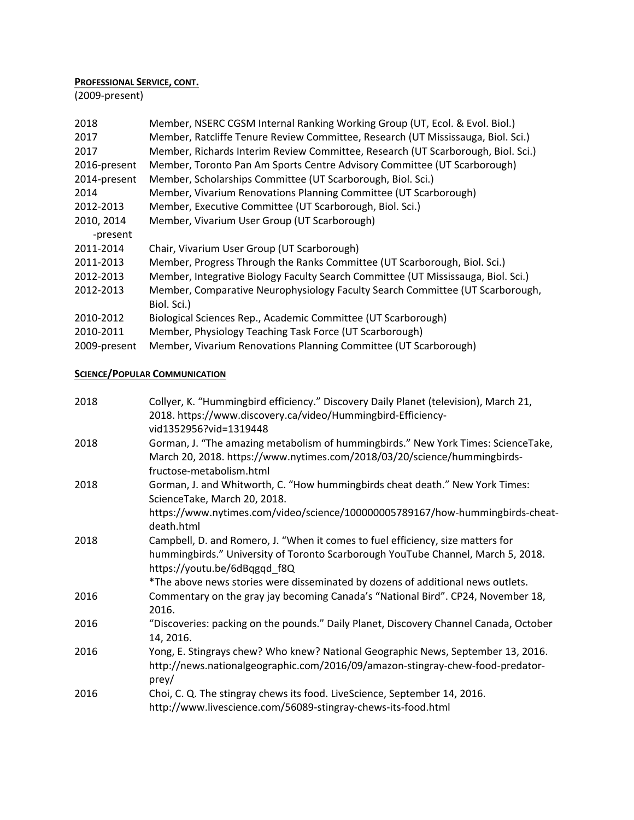# **PROFESSIONAL SERVICE, CONT.**

(2009‐present)

| 2018         | Member, NSERC CGSM Internal Ranking Working Group (UT, Ecol. & Evol. Biol.)       |
|--------------|-----------------------------------------------------------------------------------|
| 2017         | Member, Ratcliffe Tenure Review Committee, Research (UT Mississauga, Biol. Sci.)  |
| 2017         | Member, Richards Interim Review Committee, Research (UT Scarborough, Biol. Sci.)  |
| 2016-present | Member, Toronto Pan Am Sports Centre Advisory Committee (UT Scarborough)          |
| 2014-present | Member, Scholarships Committee (UT Scarborough, Biol. Sci.)                       |
| 2014         | Member, Vivarium Renovations Planning Committee (UT Scarborough)                  |
| 2012-2013    | Member, Executive Committee (UT Scarborough, Biol. Sci.)                          |
| 2010, 2014   | Member, Vivarium User Group (UT Scarborough)                                      |
| -present     |                                                                                   |
| 2011-2014    | Chair, Vivarium User Group (UT Scarborough)                                       |
| 2011-2013    | Member, Progress Through the Ranks Committee (UT Scarborough, Biol. Sci.)         |
| 2012-2013    | Member, Integrative Biology Faculty Search Committee (UT Mississauga, Biol. Sci.) |
| 2012-2013    | Member, Comparative Neurophysiology Faculty Search Committee (UT Scarborough,     |
|              | Biol. Sci.)                                                                       |
| 2010-2012    | Biological Sciences Rep., Academic Committee (UT Scarborough)                     |
| 2010-2011    | Member, Physiology Teaching Task Force (UT Scarborough)                           |
| 2009-present | Member, Vivarium Renovations Planning Committee (UT Scarborough)                  |

# **SCIENCE/POPULAR COMMUNICATION**

| 2018 | Collyer, K. "Hummingbird efficiency." Discovery Daily Planet (television), March 21,                                                                                                                |
|------|-----------------------------------------------------------------------------------------------------------------------------------------------------------------------------------------------------|
|      | 2018. https://www.discovery.ca/video/Hummingbird-Efficiency-<br>vid1352956?vid=1319448                                                                                                              |
| 2018 | Gorman, J. "The amazing metabolism of hummingbirds." New York Times: ScienceTake,<br>March 20, 2018. https://www.nytimes.com/2018/03/20/science/hummingbirds-<br>fructose-metabolism.html           |
| 2018 | Gorman, J. and Whitworth, C. "How hummingbirds cheat death." New York Times:<br>ScienceTake, March 20, 2018.                                                                                        |
|      | https://www.nytimes.com/video/science/100000005789167/how-hummingbirds-cheat-<br>death.html                                                                                                         |
| 2018 | Campbell, D. and Romero, J. "When it comes to fuel efficiency, size matters for<br>hummingbirds." University of Toronto Scarborough YouTube Channel, March 5, 2018.<br>https://youtu.be/6dBqgqd f8Q |
|      | *The above news stories were disseminated by dozens of additional news outlets.                                                                                                                     |
| 2016 | Commentary on the gray jay becoming Canada's "National Bird". CP24, November 18,<br>2016.                                                                                                           |
| 2016 | "Discoveries: packing on the pounds." Daily Planet, Discovery Channel Canada, October<br>14, 2016.                                                                                                  |
| 2016 | Yong, E. Stingrays chew? Who knew? National Geographic News, September 13, 2016.<br>http://news.nationalgeographic.com/2016/09/amazon-stingray-chew-food-predator-<br>prey/                         |
| 2016 | Choi, C. Q. The stingray chews its food. LiveScience, September 14, 2016.<br>http://www.livescience.com/56089-stingray-chews-its-food.html                                                          |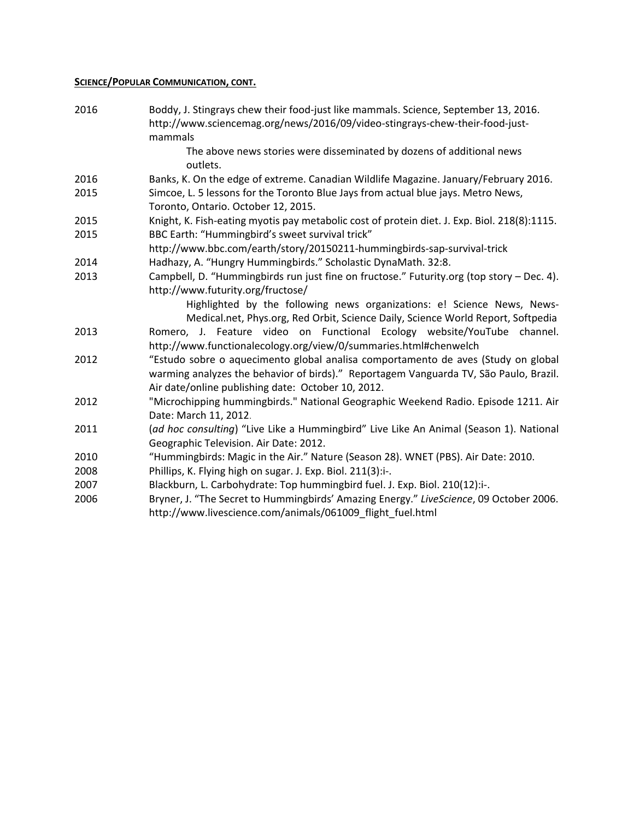# **SCIENCE/POPULAR COMMUNICATION, CONT.**

| 2016 | Boddy, J. Stingrays chew their food-just like mammals. Science, September 13, 2016.<br>http://www.sciencemag.org/news/2016/09/video-stingrays-chew-their-food-just- |
|------|---------------------------------------------------------------------------------------------------------------------------------------------------------------------|
|      | mammals                                                                                                                                                             |
|      | The above news stories were disseminated by dozens of additional news<br>outlets.                                                                                   |
| 2016 | Banks, K. On the edge of extreme. Canadian Wildlife Magazine. January/February 2016.                                                                                |
| 2015 | Simcoe, L. 5 lessons for the Toronto Blue Jays from actual blue jays. Metro News,<br>Toronto, Ontario. October 12, 2015.                                            |
| 2015 | Knight, K. Fish-eating myotis pay metabolic cost of protein diet. J. Exp. Biol. 218(8):1115.                                                                        |
| 2015 | BBC Earth: "Hummingbird's sweet survival trick"                                                                                                                     |
|      | http://www.bbc.com/earth/story/20150211-hummingbirds-sap-survival-trick                                                                                             |
| 2014 | Hadhazy, A. "Hungry Hummingbirds." Scholastic DynaMath. 32:8.                                                                                                       |
| 2013 | Campbell, D. "Hummingbirds run just fine on fructose." Futurity.org (top story - Dec. 4).                                                                           |
|      | http://www.futurity.org/fructose/                                                                                                                                   |
|      | Highlighted by the following news organizations: e! Science News, News-                                                                                             |
|      | Medical.net, Phys.org, Red Orbit, Science Daily, Science World Report, Softpedia                                                                                    |
| 2013 | Romero, J. Feature video on Functional Ecology website/YouTube channel.                                                                                             |
|      | http://www.functionalecology.org/view/0/summaries.html#chenwelch                                                                                                    |
| 2012 | "Estudo sobre o aquecimento global analisa comportamento de aves (Study on global                                                                                   |
|      | warming analyzes the behavior of birds)." Reportagem Vanguarda TV, São Paulo, Brazil.                                                                               |
|      | Air date/online publishing date: October 10, 2012.                                                                                                                  |
| 2012 | "Microchipping hummingbirds." National Geographic Weekend Radio. Episode 1211. Air                                                                                  |
|      | Date: March 11, 2012.                                                                                                                                               |
| 2011 | (ad hoc consulting) "Live Like a Hummingbird" Live Like An Animal (Season 1). National                                                                              |
|      | Geographic Television. Air Date: 2012.                                                                                                                              |
| 2010 | "Hummingbirds: Magic in the Air." Nature (Season 28). WNET (PBS). Air Date: 2010.                                                                                   |
| 2008 | Phillips, K. Flying high on sugar. J. Exp. Biol. 211(3):i-.                                                                                                         |
| 2007 | Blackburn, L. Carbohydrate: Top hummingbird fuel. J. Exp. Biol. 210(12):i-.                                                                                         |
| 2006 | Bryner, J. "The Secret to Hummingbirds' Amazing Energy." LiveScience, 09 October 2006.                                                                              |
|      | http://www.livescience.com/animals/061009 flight fuel.html                                                                                                          |